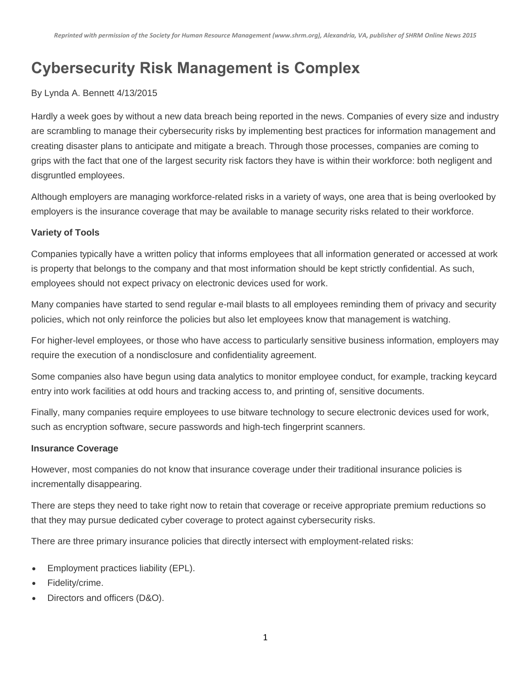## **Cybersecurity Risk Management is Complex**

## By Lynda A. Bennett 4/13/2015

Hardly a week goes by without a new data breach being reported in the news. Companies of every size and industry are scrambling to manage their cybersecurity risks by implementing best practices for information management and creating disaster plans to anticipate and mitigate a breach. Through those processes, companies are coming to grips with the fact that one of the largest security risk factors they have is within their workforce: both negligent and disgruntled employees.

Although employers are managing workforce-related risks in a variety of ways, one area that is being overlooked by employers is the insurance coverage that may be available to manage security risks related to their workforce.

## **Variety of Tools**

Companies typically have a written policy that informs employees that all information generated or accessed at work is property that belongs to the company and that most information should be kept strictly confidential. As such, employees should not expect privacy on electronic devices used for work.

Many companies have started to send regular e-mail blasts to all employees reminding them of privacy and security policies, which not only reinforce the policies but also let employees know that management is watching.

For higher-level employees, or those who have access to particularly sensitive business information, employers may require the execution of a nondisclosure and confidentiality agreement.

Some companies also have begun using data analytics to monitor employee conduct, for example, tracking keycard entry into work facilities at odd hours and tracking access to, and printing of, sensitive documents.

Finally, many companies require employees to use bitware technology to secure electronic devices used for work, such as encryption software, secure passwords and high-tech fingerprint scanners.

## **Insurance Coverage**

However, most companies do not know that insurance coverage under their traditional insurance policies is incrementally disappearing.

There are steps they need to take right now to retain that coverage or receive appropriate premium reductions so that they may pursue dedicated cyber coverage to protect against cybersecurity risks.

There are three primary insurance policies that directly intersect with employment-related risks:

- Employment practices liability (EPL).
- Fidelity/crime.
- Directors and officers (D&O).